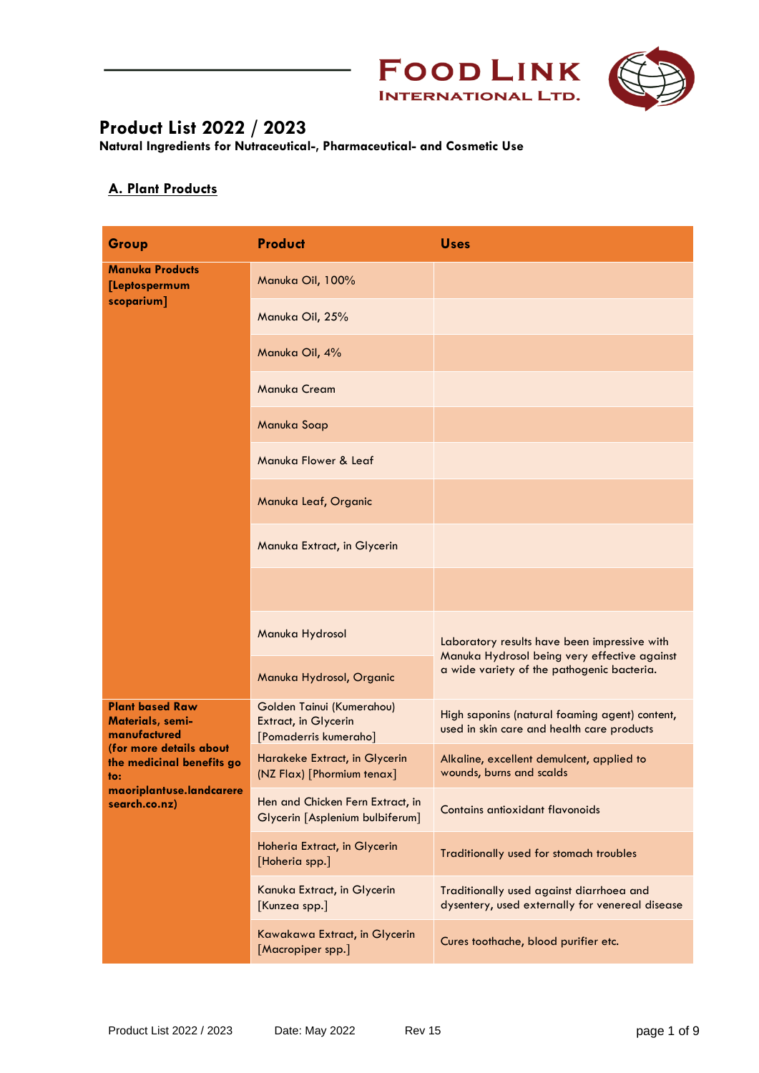



**Natural Ingredients for Nutraceutical-, Pharmaceutical- and Cosmetic Use**

### **A. Plant Products**

| Group                                                                                                                                                                         | <b>Product</b>                                                             | <b>Uses</b>                                                                                                                                |
|-------------------------------------------------------------------------------------------------------------------------------------------------------------------------------|----------------------------------------------------------------------------|--------------------------------------------------------------------------------------------------------------------------------------------|
| <b>Manuka Products</b><br>[Leptospermum<br>scoparium]                                                                                                                         | Manuka Oil, 100%                                                           |                                                                                                                                            |
|                                                                                                                                                                               | Manuka Oil, 25%                                                            |                                                                                                                                            |
|                                                                                                                                                                               | Manuka Oil, 4%                                                             |                                                                                                                                            |
|                                                                                                                                                                               | Manuka Cream                                                               |                                                                                                                                            |
|                                                                                                                                                                               | Manuka Soap                                                                |                                                                                                                                            |
|                                                                                                                                                                               | Manuka Flower & Leaf                                                       |                                                                                                                                            |
|                                                                                                                                                                               | Manuka Leaf, Organic                                                       |                                                                                                                                            |
|                                                                                                                                                                               | Manuka Extract, in Glycerin                                                |                                                                                                                                            |
|                                                                                                                                                                               |                                                                            |                                                                                                                                            |
|                                                                                                                                                                               | Manuka Hydrosol                                                            | Laboratory results have been impressive with<br>Manuka Hydrosol being very effective against<br>a wide variety of the pathogenic bacteria. |
|                                                                                                                                                                               | Manuka Hydrosol, Organic                                                   |                                                                                                                                            |
| <b>Plant based Raw</b><br><b>Materials, semi-</b><br>manufactured<br>(for more details about<br>the medicinal benefits go<br>to:<br>maoriplantuse.landcarere<br>search.co.nz) | Golden Tainui (Kumerahou)<br>Extract, in Glycerin<br>[Pomaderris kumeraho] | High saponins (natural foaming agent) content,<br>used in skin care and health care products                                               |
|                                                                                                                                                                               | Harakeke Extract, in Glycerin<br>(NZ Flax) [Phormium tenax]                | Alkaline, excellent demulcent, applied to<br>wounds, burns and scalds                                                                      |
|                                                                                                                                                                               | Hen and Chicken Fern Extract, in<br>Glycerin [Asplenium bulbiferum]        | Contains antioxidant flavonoids                                                                                                            |
|                                                                                                                                                                               | Hoheria Extract, in Glycerin<br>[Hoheria spp.]                             | Traditionally used for stomach troubles                                                                                                    |
|                                                                                                                                                                               | Kanuka Extract, in Glycerin<br>[Kunzea spp.]                               | Traditionally used against diarrhoea and<br>dysentery, used externally for venereal disease                                                |
|                                                                                                                                                                               | Kawakawa Extract, in Glycerin<br>[Macropiper spp.]                         | Cures toothache, blood purifier etc.                                                                                                       |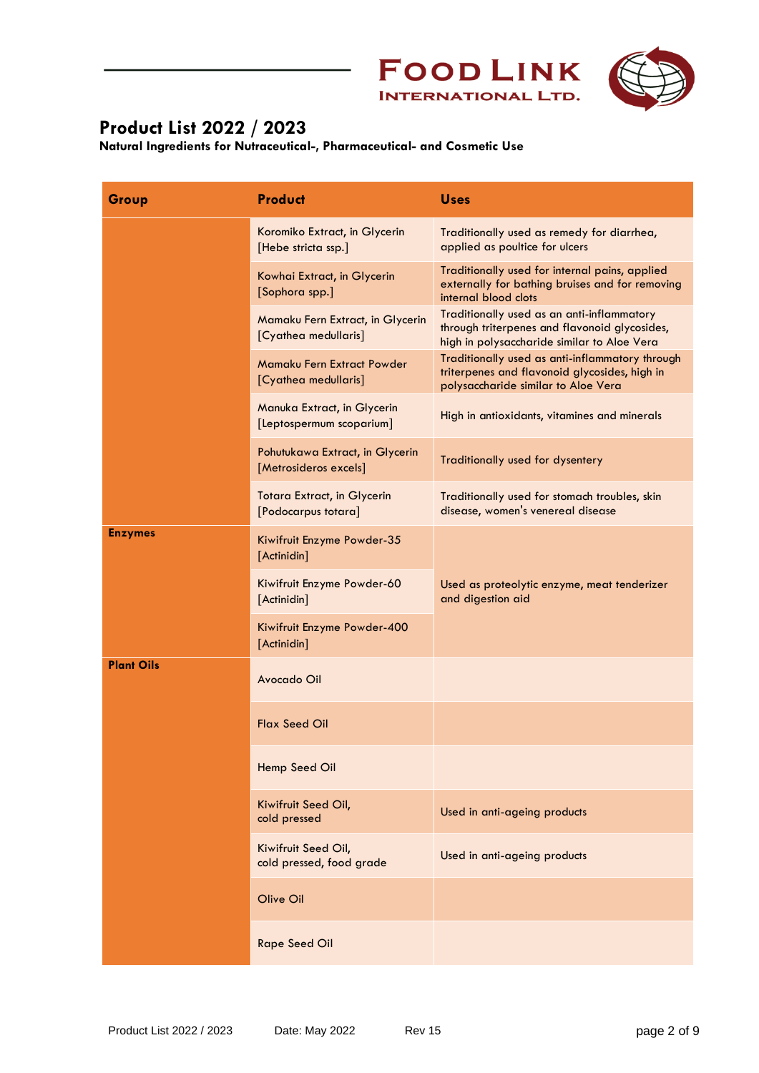



| Group             | <b>Product</b>                                            | <b>Uses</b>                                                                                                                                |
|-------------------|-----------------------------------------------------------|--------------------------------------------------------------------------------------------------------------------------------------------|
|                   | Koromiko Extract, in Glycerin<br>[Hebe stricta ssp.]      | Traditionally used as remedy for diarrhea,<br>applied as poultice for ulcers                                                               |
|                   | Kowhai Extract, in Glycerin<br>[Sophora spp.]             | Traditionally used for internal pains, applied<br>externally for bathing bruises and for removing<br>internal blood clots                  |
|                   | Mamaku Fern Extract, in Glycerin<br>[Cyathea medullaris]  | Traditionally used as an anti-inflammatory<br>through triterpenes and flavonoid glycosides,<br>high in polysaccharide similar to Aloe Vera |
|                   | Mamaku Fern Extract Powder<br>[Cyathea medullaris]        | Traditionally used as anti-inflammatory through<br>triterpenes and flavonoid glycosides, high in<br>polysaccharide similar to Aloe Vera    |
|                   | Manuka Extract, in Glycerin<br>[Leptospermum scoparium]   | High in antioxidants, vitamines and minerals                                                                                               |
|                   | Pohutukawa Extract, in Glycerin<br>[Metrosideros excels]  | Traditionally used for dysentery                                                                                                           |
|                   | <b>Totara Extract, in Glycerin</b><br>[Podocarpus totara] | Traditionally used for stomach troubles, skin<br>disease, women's venereal disease                                                         |
| <b>Enzymes</b>    | Kiwifruit Enzyme Powder-35<br>[Actinidin]                 |                                                                                                                                            |
|                   | Kiwifruit Enzyme Powder-60<br>[Actinidin]                 | Used as proteolytic enzyme, meat tenderizer<br>and digestion aid                                                                           |
|                   | Kiwifruit Enzyme Powder-400<br>[Actinidin]                |                                                                                                                                            |
| <b>Plant Oils</b> | Avocado Oil                                               |                                                                                                                                            |
|                   | <b>Flax Seed Oil</b>                                      |                                                                                                                                            |
|                   | Hemp Seed Oil                                             |                                                                                                                                            |
|                   | Kiwifruit Seed Oil,<br>cold pressed                       | Used in anti-ageing products                                                                                                               |
|                   | Kiwifruit Seed Oil,<br>cold pressed, food grade           | Used in anti-ageing products                                                                                                               |
|                   | Olive Oil                                                 |                                                                                                                                            |
|                   | <b>Rape Seed Oil</b>                                      |                                                                                                                                            |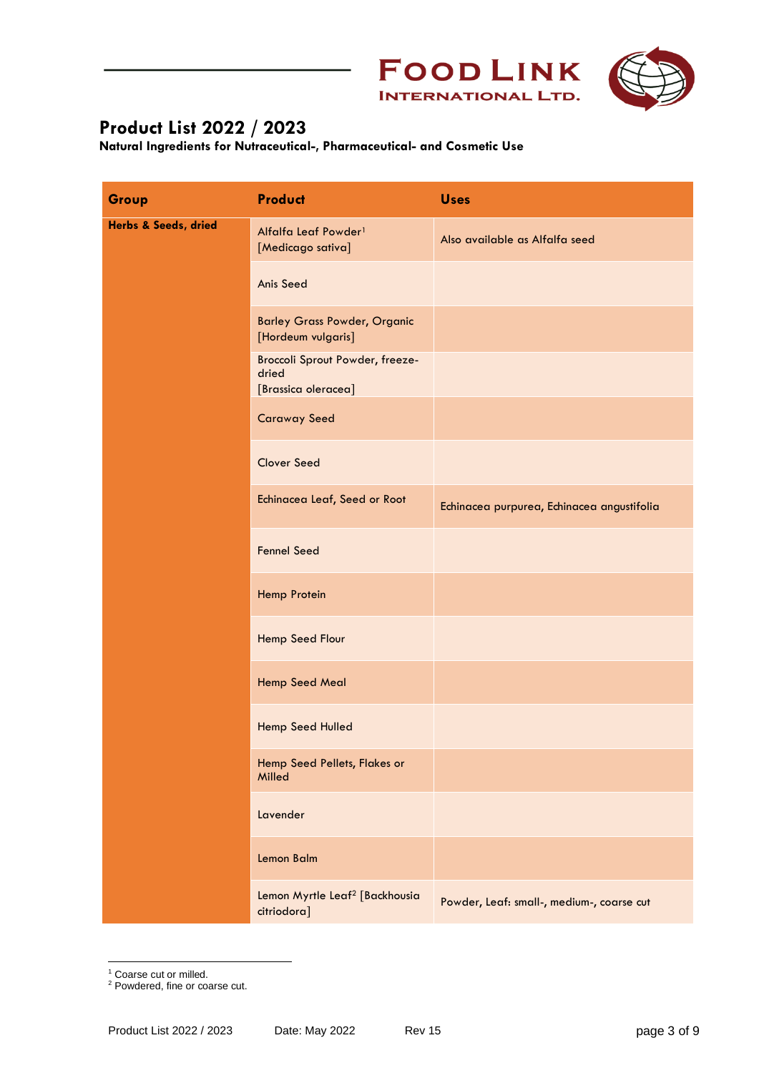



| Group                | <b>Product</b>                                                  | <b>Uses</b>                                |
|----------------------|-----------------------------------------------------------------|--------------------------------------------|
| Herbs & Seeds, dried | Alfalfa Leaf Powder <sup>1</sup><br>[Medicago sativa]           | Also available as Alfalfa seed             |
|                      | <b>Anis Seed</b>                                                |                                            |
|                      | <b>Barley Grass Powder, Organic</b><br>[Hordeum vulgaris]       |                                            |
|                      | Broccoli Sprout Powder, freeze-<br>dried<br>[Brassica oleracea] |                                            |
|                      | <b>Caraway Seed</b>                                             |                                            |
|                      | <b>Clover Seed</b>                                              |                                            |
|                      | Echinacea Leaf, Seed or Root                                    | Echinacea purpurea, Echinacea angustifolia |
|                      | <b>Fennel Seed</b>                                              |                                            |
|                      | Hemp Protein                                                    |                                            |
|                      | Hemp Seed Flour                                                 |                                            |
|                      | Hemp Seed Meal                                                  |                                            |
|                      | Hemp Seed Hulled                                                |                                            |
|                      | Hemp Seed Pellets, Flakes or<br>Milled                          |                                            |
|                      | Lavender                                                        |                                            |
|                      | Lemon Balm                                                      |                                            |
|                      | Lemon Myrtle Leaf <sup>2</sup> [Backhousia<br>citriodora]       | Powder, Leaf: small-, medium-, coarse cut  |

<sup>&</sup>lt;sup>1</sup> Coarse cut or milled.

<sup>&</sup>lt;sup>2</sup> Powdered, fine or coarse cut.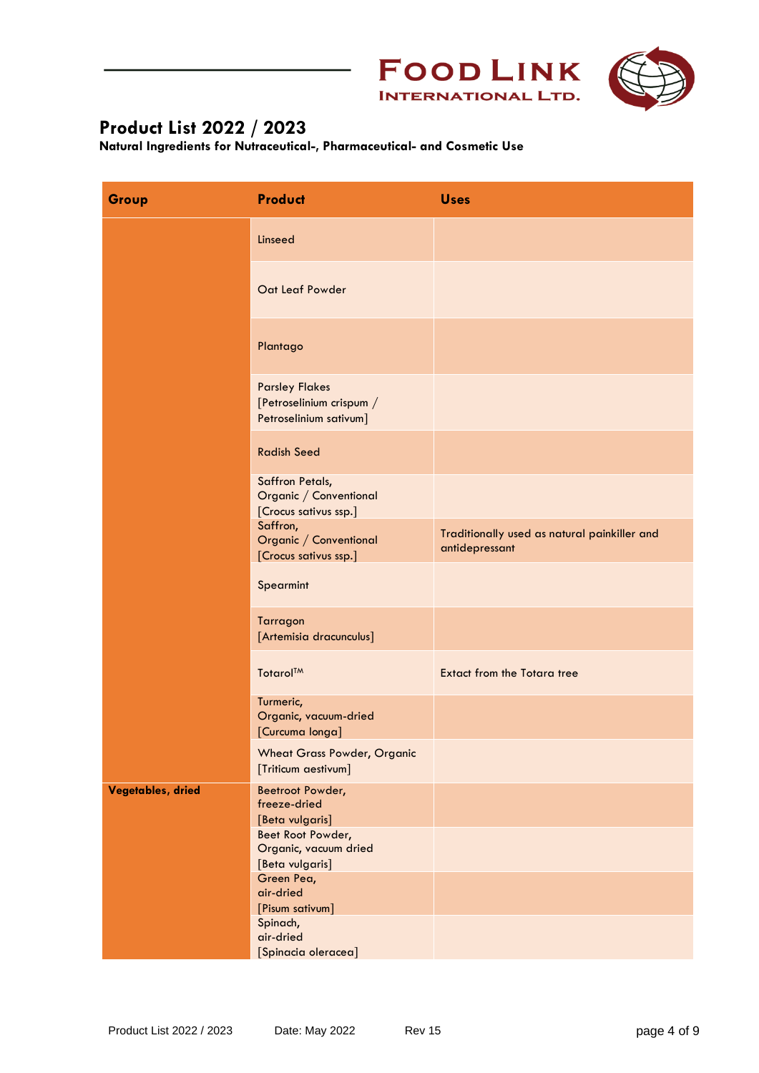



| Group             | <b>Product</b>                                                              | <b>Uses</b>                                                    |
|-------------------|-----------------------------------------------------------------------------|----------------------------------------------------------------|
|                   | Linseed                                                                     |                                                                |
|                   | Oat Leaf Powder                                                             |                                                                |
|                   | Plantago                                                                    |                                                                |
|                   | <b>Parsley Flakes</b><br>[Petroselinium crispum /<br>Petroselinium sativum] |                                                                |
|                   | <b>Radish Seed</b>                                                          |                                                                |
|                   | Saffron Petals,<br>Organic / Conventional<br>[Crocus sativus ssp.]          |                                                                |
|                   | Saffron,<br>Organic / Conventional<br>[Crocus sativus ssp.]                 | Traditionally used as natural painkiller and<br>antidepressant |
|                   | Spearmint                                                                   |                                                                |
|                   | Tarragon<br>[Artemisia dracunculus]                                         |                                                                |
|                   | Totarol™                                                                    | <b>Extact from the Totara tree</b>                             |
|                   | Turmeric,<br>Organic, vacuum-dried<br>[Curcuma longa]                       |                                                                |
|                   | <b>Wheat Grass Powder, Organic</b><br>[Triticum aestivum]                   |                                                                |
| Vegetables, dried | Beetroot Powder,<br>freeze-dried<br>[Beta vulgaris]                         |                                                                |
|                   | Beet Root Powder,<br>Organic, vacuum dried<br>[Beta vulgaris]               |                                                                |
|                   | Green Pea,<br>air-dried<br>[Pisum sativum]                                  |                                                                |
|                   | Spinach,<br>air-dried<br>[Spinacia oleracea]                                |                                                                |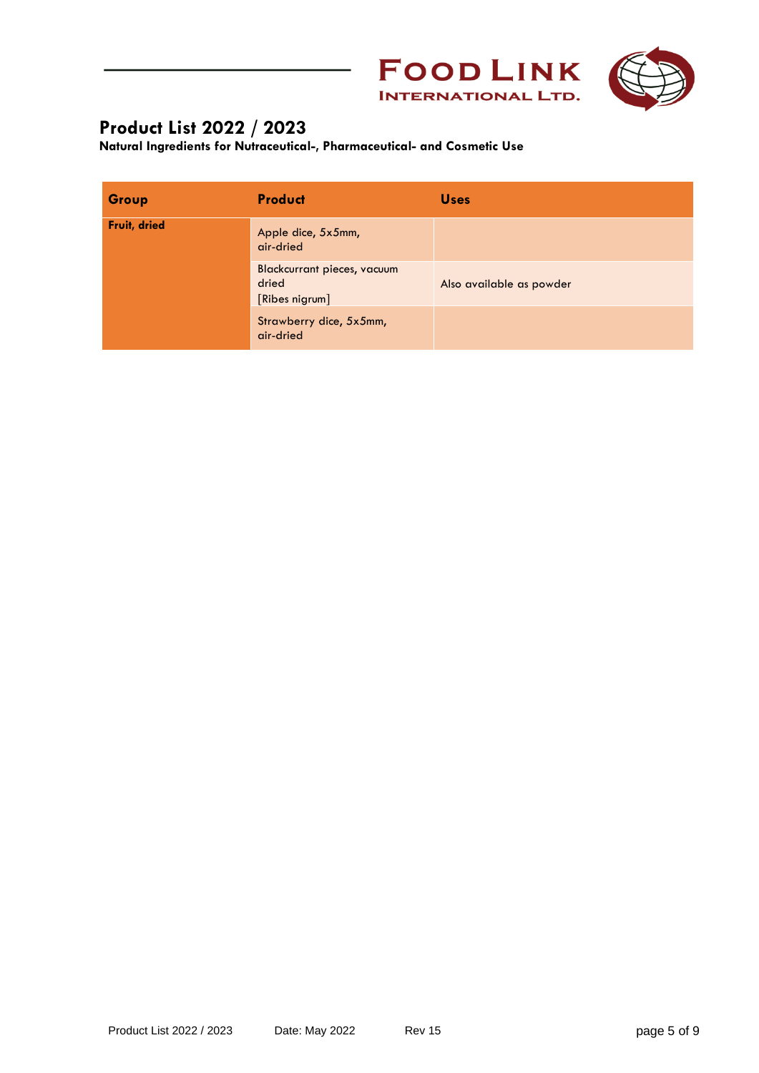



| Group        | <b>Product</b>                                         | <b>Uses</b>              |
|--------------|--------------------------------------------------------|--------------------------|
| Fruit, dried | Apple dice, 5x5mm,<br>air-dried                        |                          |
|              | Blackcurrant pieces, vacuum<br>dried<br>[Ribes nigrum] | Also available as powder |
|              | Strawberry dice, 5x5mm,<br>air-dried                   |                          |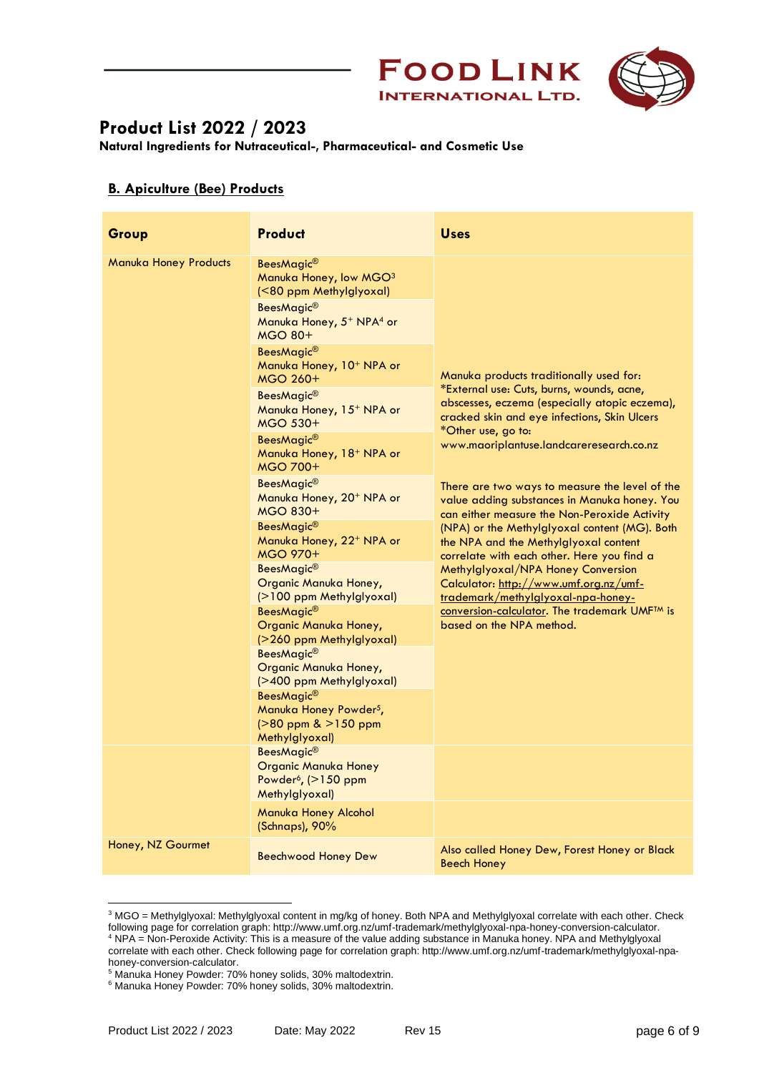



| Group                                                                                                       | <b>Product</b>                                                                                                | <b>Uses</b>                                                                                                                                    |
|-------------------------------------------------------------------------------------------------------------|---------------------------------------------------------------------------------------------------------------|------------------------------------------------------------------------------------------------------------------------------------------------|
| <b>Manuka Honey Products</b><br>BeesMagic®<br>Manuka Honey, low MGO <sup>3</sup><br>(<80 ppm Methylglyoxal) |                                                                                                               |                                                                                                                                                |
|                                                                                                             | BeesMagic <sup>®</sup><br>Manuka Honey, 5 <sup>+</sup> NPA <sup>4</sup> or<br><b>MGO 80+</b>                  |                                                                                                                                                |
|                                                                                                             | BeesMagic <sup>®</sup><br>Manuka Honey, 10 <sup>+</sup> NPA or<br>MGO 260+                                    | Manuka products traditionally used for:                                                                                                        |
|                                                                                                             | BeesMagic <sup>®</sup><br>Manuka Honey, 15 <sup>+</sup> NPA or<br><b>MGO 530+</b>                             | *External use: Cuts, burns, wounds, acne,<br>abscesses, eczema (especially atopic eczema),<br>cracked skin and eye infections, Skin Ulcers     |
| *Other use, go to:<br>BeesMagic <sup>®</sup><br>Manuka Honey, 18 <sup>+</sup> NPA or<br><b>MGO 700+</b>     | www.maoriplantuse.landcareresearch.co.nz                                                                      |                                                                                                                                                |
|                                                                                                             | BeesMagic <sup>®</sup><br>Manuka Honey, 20 <sup>+</sup> NPA or<br><b>MGO 830+</b>                             | There are two ways to measure the level of the<br>value adding substances in Manuka honey. You<br>can either measure the Non-Peroxide Activity |
|                                                                                                             | BeesMagic <sup>®</sup><br>Manuka Honey, 22 <sup>+</sup> NPA or<br><b>MGO 970+</b>                             | (NPA) or the Methylglyoxal content (MG). Both<br>the NPA and the Methylglyoxal content<br>correlate with each other. Here you find a           |
|                                                                                                             | BeesMagic <sup>®</sup><br>Organic Manuka Honey,<br>(>100 ppm Methylglyoxal)                                   | Methylglyoxal/NPA Honey Conversion<br>Calculator: http://www.umf.org.nz/umf-<br>trademark/methylalyoxal-npa-honey-                             |
|                                                                                                             | BeesMagic <sup>®</sup><br>Organic Manuka Honey,<br>(>260 ppm Methylglyoxal)                                   | conversion-calculator. The trademark UMF <sup>TM</sup> is<br>based on the NPA method.                                                          |
|                                                                                                             | BeesMagic <sup>®</sup><br>Organic Manuka Honey,<br>(>400 ppm Methylglyoxal)                                   |                                                                                                                                                |
|                                                                                                             | BeesMagic <sup>®</sup><br>Manuka Honey Powder <sup>5</sup> ,<br>$( > 80$ ppm & $ > 150$ ppm<br>Methylglyoxal) |                                                                                                                                                |
|                                                                                                             | BeesMagic <sup>®</sup><br><b>Organic Manuka Honey</b><br>Powder <sup>6</sup> , (>150 ppm<br>Methylglyoxal)    |                                                                                                                                                |
|                                                                                                             | Manuka Honey Alcohol<br>(Schnaps), 90%                                                                        |                                                                                                                                                |
| Honey, NZ Gourmet                                                                                           | Beechwood Honey Dew                                                                                           | Also called Honey Dew, Forest Honey or Black<br><b>Beech Honey</b>                                                                             |

<sup>&</sup>lt;sup>3</sup> MGO = Methylglyoxal: Methylglyoxal content in mg/kg of honey. Both NPA and Methylglyoxal correlate with each other. Check following page for correlation graph: http://www.umf.org.nz/umf-trademark/methylglyoxal-npa-honey-conversion-calculator. <sup>4</sup> NPA = Non-Peroxide Activity: This is a measure of the value adding substance in Manuka honey. NPA and Methylglyoxal correlate with each other. Check following page for correlation graph: http://www.umf.org.nz/umf-trademark/methylglyoxal-npahoney-conversion-calculator.

<sup>5</sup> Manuka Honey Powder: 70% honey solids, 30% maltodextrin.

<sup>6</sup> Manuka Honey Powder: 70% honey solids, 30% maltodextrin.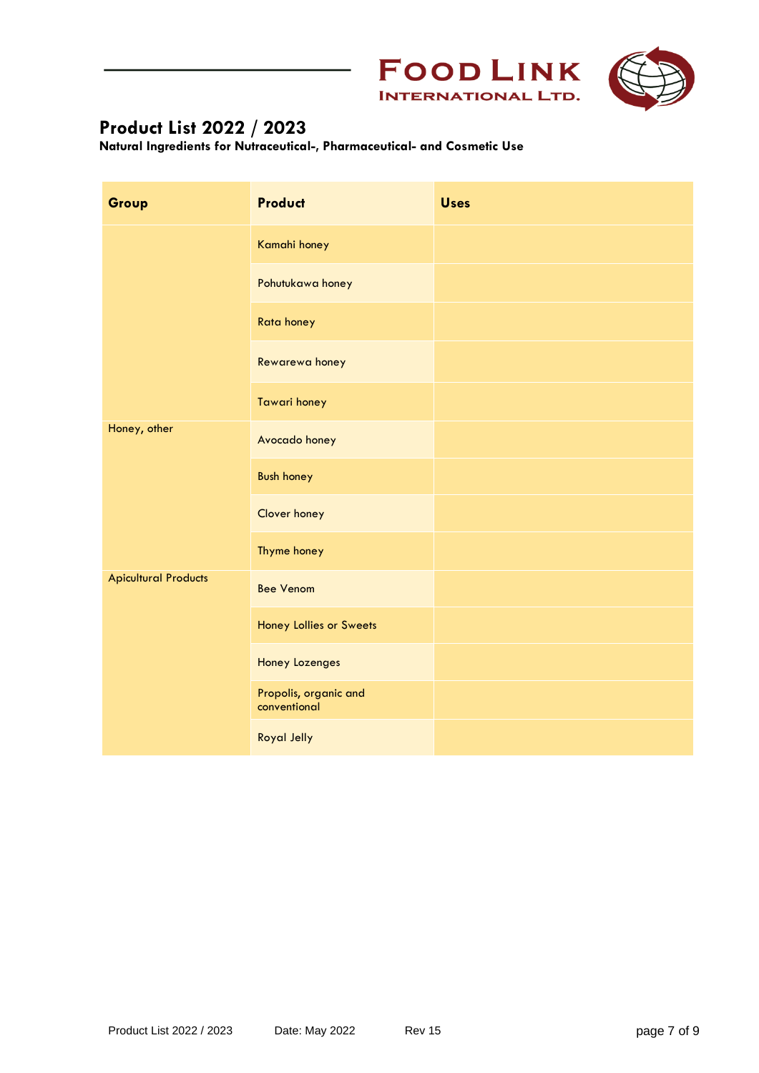



| Group                       | <b>Product</b>                        | <b>Uses</b> |
|-----------------------------|---------------------------------------|-------------|
|                             | Kamahi honey                          |             |
|                             | Pohutukawa honey                      |             |
|                             | Rata honey                            |             |
|                             | Rewarewa honey                        |             |
|                             | <b>Tawari honey</b>                   |             |
| Honey, other                | Avocado honey                         |             |
|                             | <b>Bush honey</b>                     |             |
|                             | Clover honey                          |             |
|                             | Thyme honey                           |             |
| <b>Apicultural Products</b> | <b>Bee Venom</b>                      |             |
|                             | Honey Lollies or Sweets               |             |
|                             | Honey Lozenges                        |             |
|                             | Propolis, organic and<br>conventional |             |
|                             | <b>Royal Jelly</b>                    |             |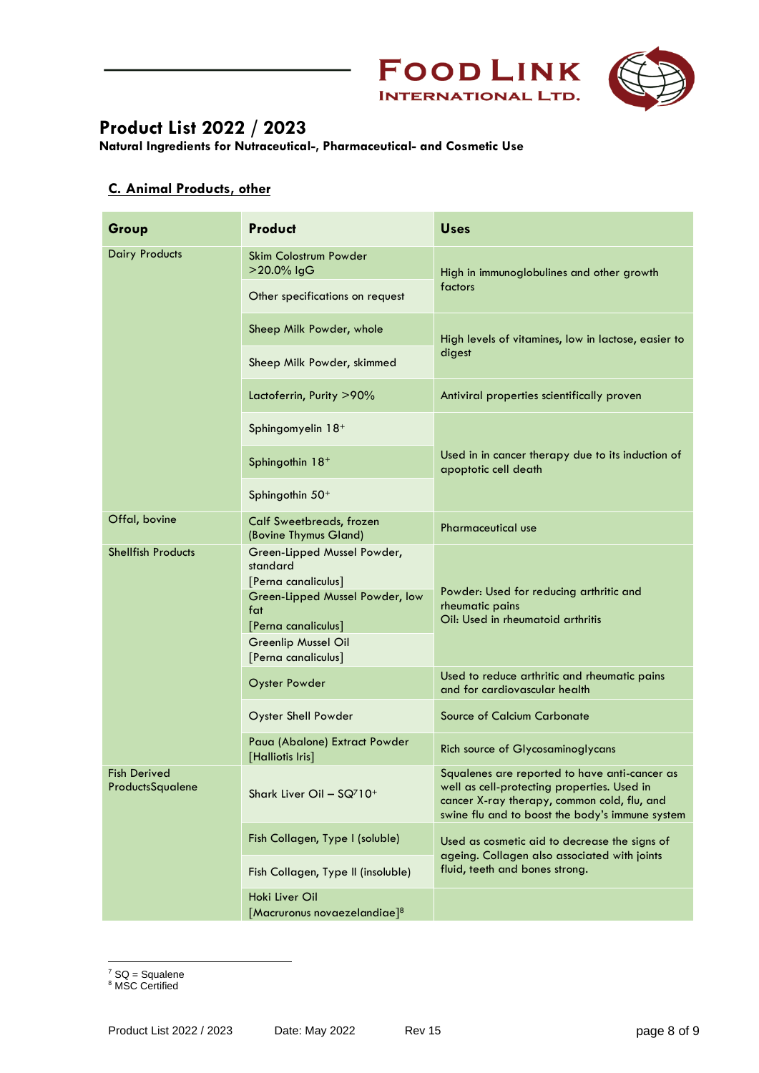



**Natural Ingredients for Nutraceutical-, Pharmaceutical- and Cosmetic Use**

#### **C. Animal Products, other**

| Group                            | Product                                                        | <b>Uses</b>                                                                                                                                                                                    |
|----------------------------------|----------------------------------------------------------------|------------------------------------------------------------------------------------------------------------------------------------------------------------------------------------------------|
| <b>Dairy Products</b>            | <b>Skim Colostrum Powder</b><br>>20.0% IgG                     | High in immunoglobulines and other growth<br>factors                                                                                                                                           |
|                                  | Other specifications on request                                |                                                                                                                                                                                                |
|                                  | Sheep Milk Powder, whole                                       | High levels of vitamines, low in lactose, easier to                                                                                                                                            |
|                                  | Sheep Milk Powder, skimmed                                     | digest                                                                                                                                                                                         |
|                                  | Lactoferrin, Purity >90%                                       | Antiviral properties scientifically proven                                                                                                                                                     |
|                                  | Sphingomyelin 18+                                              |                                                                                                                                                                                                |
|                                  | Sphingothin 18+                                                | Used in in cancer therapy due to its induction of<br>apoptotic cell death                                                                                                                      |
|                                  | Sphingothin 50 <sup>+</sup>                                    |                                                                                                                                                                                                |
| Offal, bovine                    | Calf Sweetbreads, frozen<br>(Bovine Thymus Gland)              | <b>Pharmaceutical use</b>                                                                                                                                                                      |
| <b>Shellfish Products</b>        | Green-Lipped Mussel Powder,<br>standard<br>[Perna canaliculus] | Powder: Used for reducing arthritic and                                                                                                                                                        |
|                                  | Green-Lipped Mussel Powder, low<br>fat<br>[Perna canaliculus]  | rheumatic pains<br>Oil: Used in rheumatoid arthritis                                                                                                                                           |
|                                  | <b>Greenlip Mussel Oil</b><br>[Perna canaliculus]              |                                                                                                                                                                                                |
|                                  | <b>Oyster Powder</b>                                           | Used to reduce arthritic and rheumatic pains<br>and for cardiovascular health                                                                                                                  |
|                                  | <b>Oyster Shell Powder</b>                                     | <b>Source of Calcium Carbonate</b>                                                                                                                                                             |
|                                  | Paua (Abalone) Extract Powder<br>[Halliotis Iris]              | Rich source of Glycosaminoglycans                                                                                                                                                              |
| Fish Derived<br>ProductsSqualene | Shark Liver Oil - SQ710+                                       | Squalenes are reported to have anti-cancer as<br>well as cell-protecting properties. Used in<br>cancer X-ray therapy, common cold, flu, and<br>swine flu and to boost the body's immune system |
|                                  | Fish Collagen, Type I (soluble)                                | Used as cosmetic aid to decrease the signs of<br>ageing. Collagen also associated with joints<br>fluid, teeth and bones strong.                                                                |
|                                  | Fish Collagen, Type II (insoluble)                             |                                                                                                                                                                                                |
|                                  | Hoki Liver Oil                                                 |                                                                                                                                                                                                |
|                                  | [Macruronus novaezelandiae]8                                   |                                                                                                                                                                                                |

 $7$  SQ = Squalene

<sup>8</sup> MSC Certified